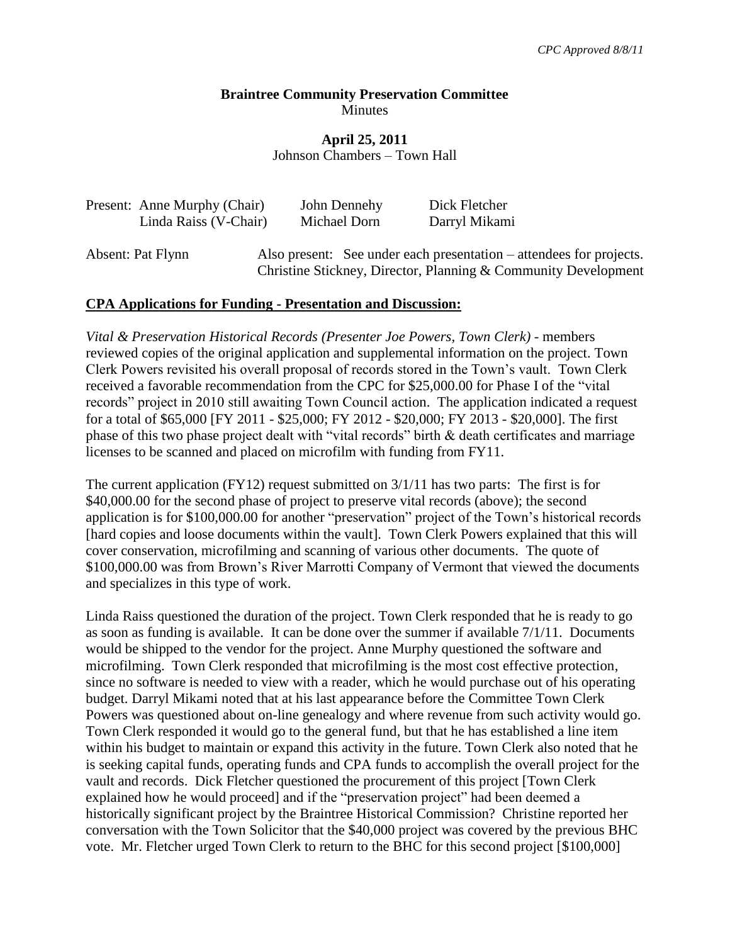## **Braintree Community Preservation Committee Minutes**

# **April 25, 2011** Johnson Chambers – Town Hall

| Present: Anne Murphy (Chair)<br>Linda Raiss (V-Chair) | John Dennehy<br>Michael Dorn | Dick Fletcher<br>Darryl Mikami                                                                                                        |
|-------------------------------------------------------|------------------------------|---------------------------------------------------------------------------------------------------------------------------------------|
| Absent: Pat Flynn                                     |                              | Also present: See under each presentation – attendees for projects.<br>Christine Stickney, Director, Planning & Community Development |

## **CPA Applications for Funding - Presentation and Discussion:**

*Vital & Preservation Historical Records (Presenter Joe Powers, Town Clerk)* - members reviewed copies of the original application and supplemental information on the project. Town Clerk Powers revisited his overall proposal of records stored in the Town's vault. Town Clerk received a favorable recommendation from the CPC for \$25,000.00 for Phase I of the "vital records" project in 2010 still awaiting Town Council action. The application indicated a request for a total of \$65,000 [FY 2011 - \$25,000; FY 2012 - \$20,000; FY 2013 - \$20,000]. The first phase of this two phase project dealt with "vital records" birth & death certificates and marriage licenses to be scanned and placed on microfilm with funding from FY11.

The current application (FY12) request submitted on 3/1/11 has two parts: The first is for \$40,000.00 for the second phase of project to preserve vital records (above); the second application is for \$100,000.00 for another "preservation" project of the Town's historical records [hard copies and loose documents within the vault]. Town Clerk Powers explained that this will cover conservation, microfilming and scanning of various other documents. The quote of \$100,000.00 was from Brown's River Marrotti Company of Vermont that viewed the documents and specializes in this type of work.

Linda Raiss questioned the duration of the project. Town Clerk responded that he is ready to go as soon as funding is available. It can be done over the summer if available 7/1/11. Documents would be shipped to the vendor for the project. Anne Murphy questioned the software and microfilming. Town Clerk responded that microfilming is the most cost effective protection, since no software is needed to view with a reader, which he would purchase out of his operating budget. Darryl Mikami noted that at his last appearance before the Committee Town Clerk Powers was questioned about on-line genealogy and where revenue from such activity would go. Town Clerk responded it would go to the general fund, but that he has established a line item within his budget to maintain or expand this activity in the future. Town Clerk also noted that he is seeking capital funds, operating funds and CPA funds to accomplish the overall project for the vault and records. Dick Fletcher questioned the procurement of this project [Town Clerk explained how he would proceed] and if the "preservation project" had been deemed a historically significant project by the Braintree Historical Commission? Christine reported her conversation with the Town Solicitor that the \$40,000 project was covered by the previous BHC vote. Mr. Fletcher urged Town Clerk to return to the BHC for this second project [\$100,000]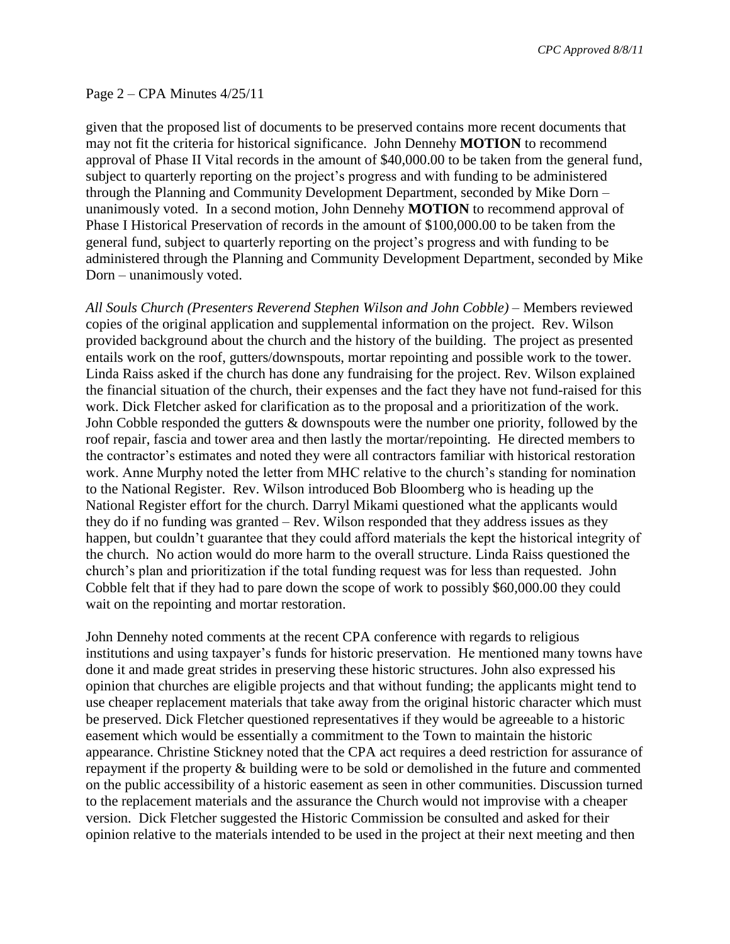*CPC Approved 8/8/11*

#### Page 2 – CPA Minutes 4/25/11

given that the proposed list of documents to be preserved contains more recent documents that may not fit the criteria for historical significance. John Dennehy **MOTION** to recommend approval of Phase II Vital records in the amount of \$40,000.00 to be taken from the general fund, subject to quarterly reporting on the project's progress and with funding to be administered through the Planning and Community Development Department, seconded by Mike Dorn – unanimously voted. In a second motion, John Dennehy **MOTION** to recommend approval of Phase I Historical Preservation of records in the amount of \$100,000.00 to be taken from the general fund, subject to quarterly reporting on the project's progress and with funding to be administered through the Planning and Community Development Department, seconded by Mike Dorn – unanimously voted.

*All Souls Church (Presenters Reverend Stephen Wilson and John Cobble)* – Members reviewed copies of the original application and supplemental information on the project. Rev. Wilson provided background about the church and the history of the building. The project as presented entails work on the roof, gutters/downspouts, mortar repointing and possible work to the tower. Linda Raiss asked if the church has done any fundraising for the project. Rev. Wilson explained the financial situation of the church, their expenses and the fact they have not fund-raised for this work. Dick Fletcher asked for clarification as to the proposal and a prioritization of the work. John Cobble responded the gutters & downspouts were the number one priority, followed by the roof repair, fascia and tower area and then lastly the mortar/repointing. He directed members to the contractor's estimates and noted they were all contractors familiar with historical restoration work. Anne Murphy noted the letter from MHC relative to the church's standing for nomination to the National Register. Rev. Wilson introduced Bob Bloomberg who is heading up the National Register effort for the church. Darryl Mikami questioned what the applicants would they do if no funding was granted – Rev. Wilson responded that they address issues as they happen, but couldn't guarantee that they could afford materials the kept the historical integrity of the church. No action would do more harm to the overall structure. Linda Raiss questioned the church's plan and prioritization if the total funding request was for less than requested. John Cobble felt that if they had to pare down the scope of work to possibly \$60,000.00 they could wait on the repointing and mortar restoration.

John Dennehy noted comments at the recent CPA conference with regards to religious institutions and using taxpayer's funds for historic preservation. He mentioned many towns have done it and made great strides in preserving these historic structures. John also expressed his opinion that churches are eligible projects and that without funding; the applicants might tend to use cheaper replacement materials that take away from the original historic character which must be preserved. Dick Fletcher questioned representatives if they would be agreeable to a historic easement which would be essentially a commitment to the Town to maintain the historic appearance. Christine Stickney noted that the CPA act requires a deed restriction for assurance of repayment if the property & building were to be sold or demolished in the future and commented on the public accessibility of a historic easement as seen in other communities. Discussion turned to the replacement materials and the assurance the Church would not improvise with a cheaper version. Dick Fletcher suggested the Historic Commission be consulted and asked for their opinion relative to the materials intended to be used in the project at their next meeting and then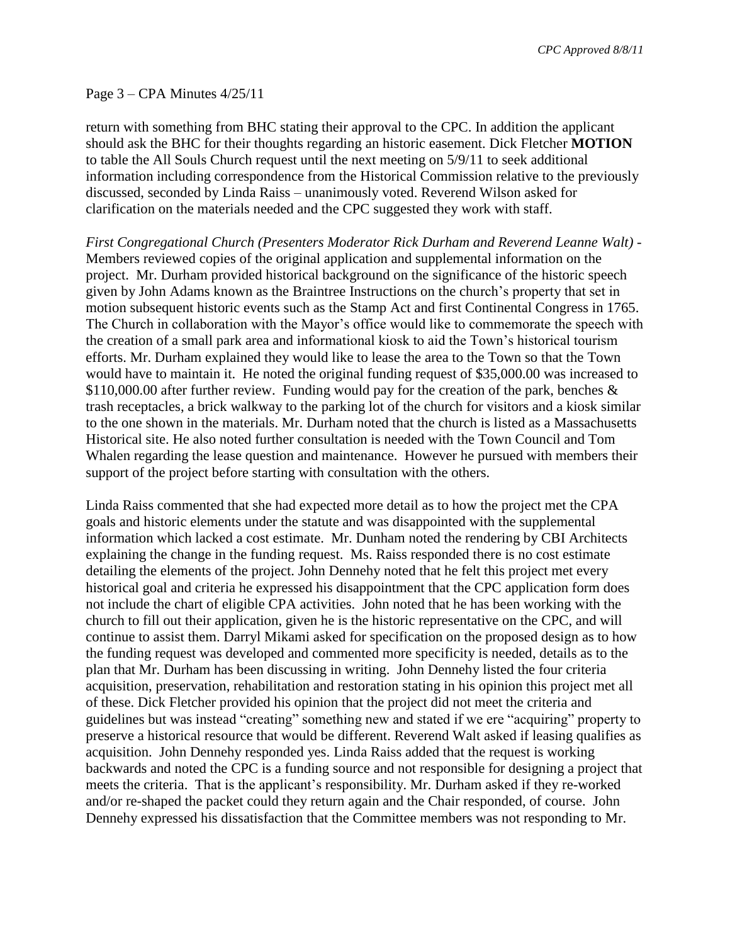*CPC Approved 8/8/11*

#### Page 3 – CPA Minutes 4/25/11

return with something from BHC stating their approval to the CPC. In addition the applicant should ask the BHC for their thoughts regarding an historic easement. Dick Fletcher **MOTION**  to table the All Souls Church request until the next meeting on 5/9/11 to seek additional information including correspondence from the Historical Commission relative to the previously discussed, seconded by Linda Raiss – unanimously voted. Reverend Wilson asked for clarification on the materials needed and the CPC suggested they work with staff.

*First Congregational Church (Presenters Moderator Rick Durham and Reverend Leanne Walt)* - Members reviewed copies of the original application and supplemental information on the project. Mr. Durham provided historical background on the significance of the historic speech given by John Adams known as the Braintree Instructions on the church's property that set in motion subsequent historic events such as the Stamp Act and first Continental Congress in 1765. The Church in collaboration with the Mayor's office would like to commemorate the speech with the creation of a small park area and informational kiosk to aid the Town's historical tourism efforts. Mr. Durham explained they would like to lease the area to the Town so that the Town would have to maintain it. He noted the original funding request of \$35,000.00 was increased to  $$110,000.00$  after further review. Funding would pay for the creation of the park, benches  $\&$ trash receptacles, a brick walkway to the parking lot of the church for visitors and a kiosk similar to the one shown in the materials. Mr. Durham noted that the church is listed as a Massachusetts Historical site. He also noted further consultation is needed with the Town Council and Tom Whalen regarding the lease question and maintenance. However he pursued with members their support of the project before starting with consultation with the others.

Linda Raiss commented that she had expected more detail as to how the project met the CPA goals and historic elements under the statute and was disappointed with the supplemental information which lacked a cost estimate. Mr. Dunham noted the rendering by CBI Architects explaining the change in the funding request. Ms. Raiss responded there is no cost estimate detailing the elements of the project. John Dennehy noted that he felt this project met every historical goal and criteria he expressed his disappointment that the CPC application form does not include the chart of eligible CPA activities. John noted that he has been working with the church to fill out their application, given he is the historic representative on the CPC, and will continue to assist them. Darryl Mikami asked for specification on the proposed design as to how the funding request was developed and commented more specificity is needed, details as to the plan that Mr. Durham has been discussing in writing. John Dennehy listed the four criteria acquisition, preservation, rehabilitation and restoration stating in his opinion this project met all of these. Dick Fletcher provided his opinion that the project did not meet the criteria and guidelines but was instead "creating" something new and stated if we ere "acquiring" property to preserve a historical resource that would be different. Reverend Walt asked if leasing qualifies as acquisition. John Dennehy responded yes. Linda Raiss added that the request is working backwards and noted the CPC is a funding source and not responsible for designing a project that meets the criteria. That is the applicant's responsibility. Mr. Durham asked if they re-worked and/or re-shaped the packet could they return again and the Chair responded, of course. John Dennehy expressed his dissatisfaction that the Committee members was not responding to Mr.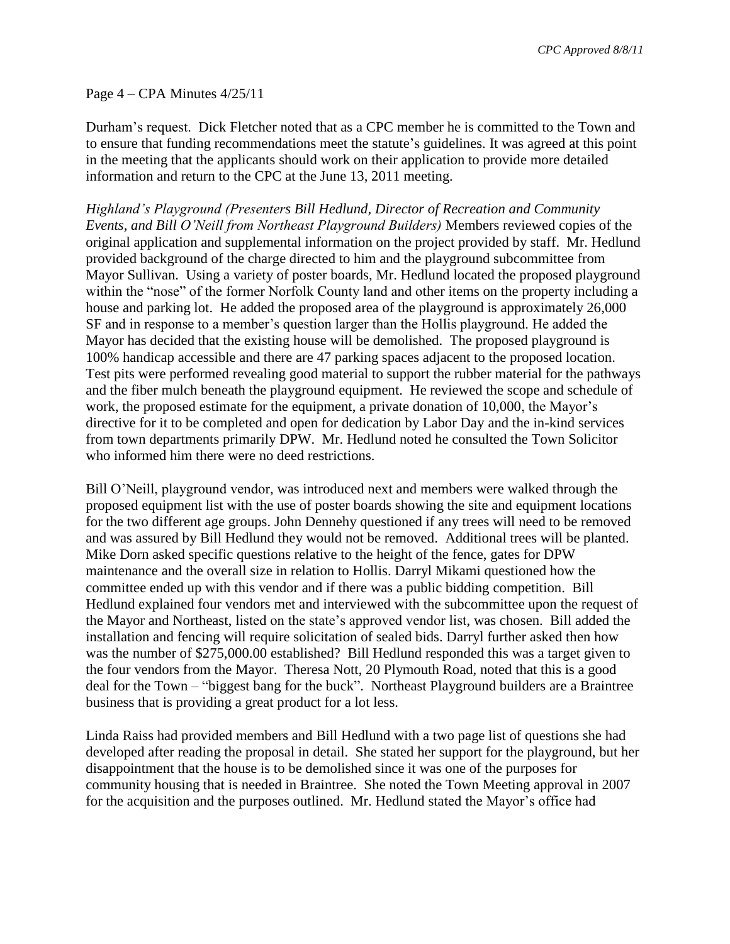### Page 4 – CPA Minutes 4/25/11

Durham's request. Dick Fletcher noted that as a CPC member he is committed to the Town and to ensure that funding recommendations meet the statute's guidelines. It was agreed at this point in the meeting that the applicants should work on their application to provide more detailed information and return to the CPC at the June 13, 2011 meeting.

*Highland's Playground (Presenters Bill Hedlund, Director of Recreation and Community Events, and Bill O'Neill from Northeast Playground Builders)* Members reviewed copies of the original application and supplemental information on the project provided by staff. Mr. Hedlund provided background of the charge directed to him and the playground subcommittee from Mayor Sullivan. Using a variety of poster boards, Mr. Hedlund located the proposed playground within the "nose" of the former Norfolk County land and other items on the property including a house and parking lot. He added the proposed area of the playground is approximately 26,000 SF and in response to a member's question larger than the Hollis playground. He added the Mayor has decided that the existing house will be demolished. The proposed playground is 100% handicap accessible and there are 47 parking spaces adjacent to the proposed location. Test pits were performed revealing good material to support the rubber material for the pathways and the fiber mulch beneath the playground equipment. He reviewed the scope and schedule of work, the proposed estimate for the equipment, a private donation of 10,000, the Mayor's directive for it to be completed and open for dedication by Labor Day and the in-kind services from town departments primarily DPW. Mr. Hedlund noted he consulted the Town Solicitor who informed him there were no deed restrictions.

Bill O'Neill, playground vendor, was introduced next and members were walked through the proposed equipment list with the use of poster boards showing the site and equipment locations for the two different age groups. John Dennehy questioned if any trees will need to be removed and was assured by Bill Hedlund they would not be removed. Additional trees will be planted. Mike Dorn asked specific questions relative to the height of the fence, gates for DPW maintenance and the overall size in relation to Hollis. Darryl Mikami questioned how the committee ended up with this vendor and if there was a public bidding competition. Bill Hedlund explained four vendors met and interviewed with the subcommittee upon the request of the Mayor and Northeast, listed on the state's approved vendor list, was chosen. Bill added the installation and fencing will require solicitation of sealed bids. Darryl further asked then how was the number of \$275,000.00 established? Bill Hedlund responded this was a target given to the four vendors from the Mayor. Theresa Nott, 20 Plymouth Road, noted that this is a good deal for the Town – "biggest bang for the buck". Northeast Playground builders are a Braintree business that is providing a great product for a lot less.

Linda Raiss had provided members and Bill Hedlund with a two page list of questions she had developed after reading the proposal in detail. She stated her support for the playground, but her disappointment that the house is to be demolished since it was one of the purposes for community housing that is needed in Braintree. She noted the Town Meeting approval in 2007 for the acquisition and the purposes outlined. Mr. Hedlund stated the Mayor's office had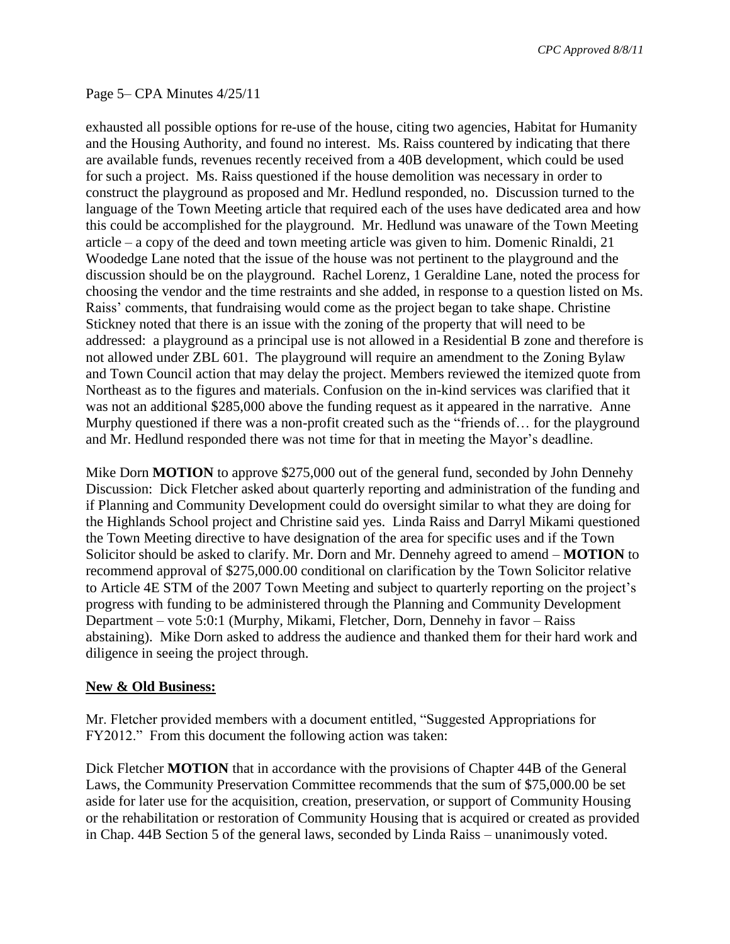*CPC Approved 8/8/11*

#### Page 5– CPA Minutes 4/25/11

exhausted all possible options for re-use of the house, citing two agencies, Habitat for Humanity and the Housing Authority, and found no interest. Ms. Raiss countered by indicating that there are available funds, revenues recently received from a 40B development, which could be used for such a project. Ms. Raiss questioned if the house demolition was necessary in order to construct the playground as proposed and Mr. Hedlund responded, no. Discussion turned to the language of the Town Meeting article that required each of the uses have dedicated area and how this could be accomplished for the playground. Mr. Hedlund was unaware of the Town Meeting article – a copy of the deed and town meeting article was given to him. Domenic Rinaldi, 21 Woodedge Lane noted that the issue of the house was not pertinent to the playground and the discussion should be on the playground. Rachel Lorenz, 1 Geraldine Lane, noted the process for choosing the vendor and the time restraints and she added, in response to a question listed on Ms. Raiss' comments, that fundraising would come as the project began to take shape. Christine Stickney noted that there is an issue with the zoning of the property that will need to be addressed: a playground as a principal use is not allowed in a Residential B zone and therefore is not allowed under ZBL 601. The playground will require an amendment to the Zoning Bylaw and Town Council action that may delay the project. Members reviewed the itemized quote from Northeast as to the figures and materials. Confusion on the in-kind services was clarified that it was not an additional \$285,000 above the funding request as it appeared in the narrative. Anne Murphy questioned if there was a non-profit created such as the "friends of… for the playground and Mr. Hedlund responded there was not time for that in meeting the Mayor's deadline.

Mike Dorn **MOTION** to approve \$275,000 out of the general fund, seconded by John Dennehy Discussion: Dick Fletcher asked about quarterly reporting and administration of the funding and if Planning and Community Development could do oversight similar to what they are doing for the Highlands School project and Christine said yes. Linda Raiss and Darryl Mikami questioned the Town Meeting directive to have designation of the area for specific uses and if the Town Solicitor should be asked to clarify. Mr. Dorn and Mr. Dennehy agreed to amend – **MOTION** to recommend approval of \$275,000.00 conditional on clarification by the Town Solicitor relative to Article 4E STM of the 2007 Town Meeting and subject to quarterly reporting on the project's progress with funding to be administered through the Planning and Community Development Department – vote 5:0:1 (Murphy, Mikami, Fletcher, Dorn, Dennehy in favor – Raiss abstaining). Mike Dorn asked to address the audience and thanked them for their hard work and diligence in seeing the project through.

#### **New & Old Business:**

Mr. Fletcher provided members with a document entitled, "Suggested Appropriations for FY2012." From this document the following action was taken:

Dick Fletcher **MOTION** that in accordance with the provisions of Chapter 44B of the General Laws, the Community Preservation Committee recommends that the sum of \$75,000.00 be set aside for later use for the acquisition, creation, preservation, or support of Community Housing or the rehabilitation or restoration of Community Housing that is acquired or created as provided in Chap. 44B Section 5 of the general laws, seconded by Linda Raiss – unanimously voted.